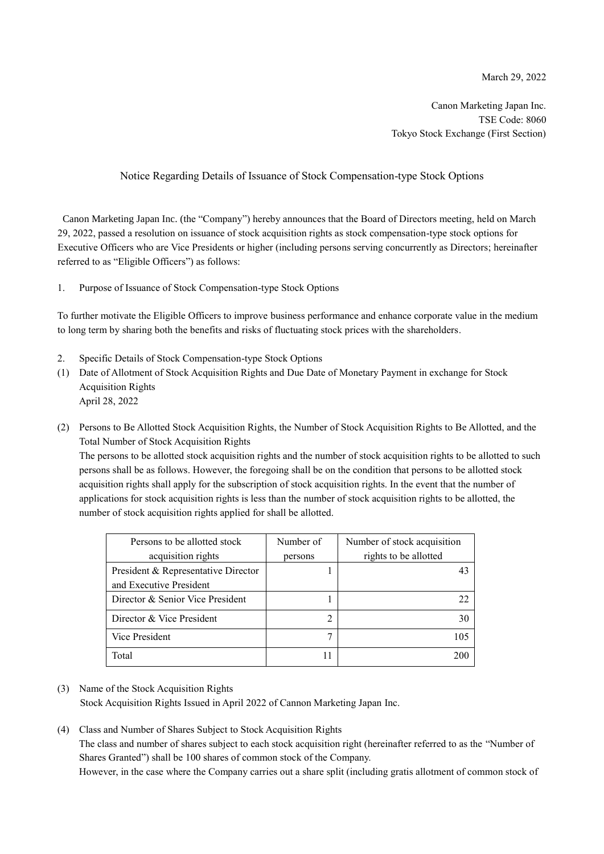Canon Marketing Japan Inc. TSE Code: 8060 Tokyo Stock Exchange (First Section)

## Notice Regarding Details of Issuance of Stock Compensation-type Stock Options

Canon Marketing Japan Inc. (the "Company") hereby announces that the Board of Directors meeting, held on March 29, 2022, passed a resolution on issuance of stock acquisition rights as stock compensation-type stock options for Executive Officers who are Vice Presidents or higher (including persons serving concurrently as Directors; hereinafter referred to as "Eligible Officers") as follows:

1. Purpose of Issuance of Stock Compensation-type Stock Options

To further motivate the Eligible Officers to improve business performance and enhance corporate value in the medium to long term by sharing both the benefits and risks of fluctuating stock prices with the shareholders.

- 2. Specific Details of Stock Compensation-type Stock Options
- (1) Date of Allotment of Stock Acquisition Rights and Due Date of Monetary Payment in exchange for Stock Acquisition Rights April 28, 2022
- (2) Persons to Be Allotted Stock Acquisition Rights, the Number of Stock Acquisition Rights to Be Allotted, and the Total Number of Stock Acquisition Rights

The persons to be allotted stock acquisition rights and the number of stock acquisition rights to be allotted to such persons shall be as follows. However, the foregoing shall be on the condition that persons to be allotted stock acquisition rights shall apply for the subscription of stock acquisition rights. In the event that the number of applications for stock acquisition rights is less than the number of stock acquisition rights to be allotted, the number of stock acquisition rights applied for shall be allotted.

| Persons to be allotted stock        | Number of | Number of stock acquisition |  |
|-------------------------------------|-----------|-----------------------------|--|
| acquisition rights                  | persons   | rights to be allotted       |  |
| President & Representative Director |           |                             |  |
| and Executive President             |           |                             |  |
| Director & Senior Vice President    |           |                             |  |
| Director & Vice President           |           | 30                          |  |
| Vice President                      |           | 105                         |  |
| Total                               |           | 200                         |  |

- (3) Name of the Stock Acquisition Rights Stock Acquisition Rights Issued in April 2022 of Cannon Marketing Japan Inc.
- (4) Class and Number of Shares Subject to Stock Acquisition Rights The class and number of shares subject to each stock acquisition right (hereinafter referred to as the "Number of Shares Granted") shall be 100 shares of common stock of the Company.

However, in the case where the Company carries out a share split (including gratis allotment of common stock of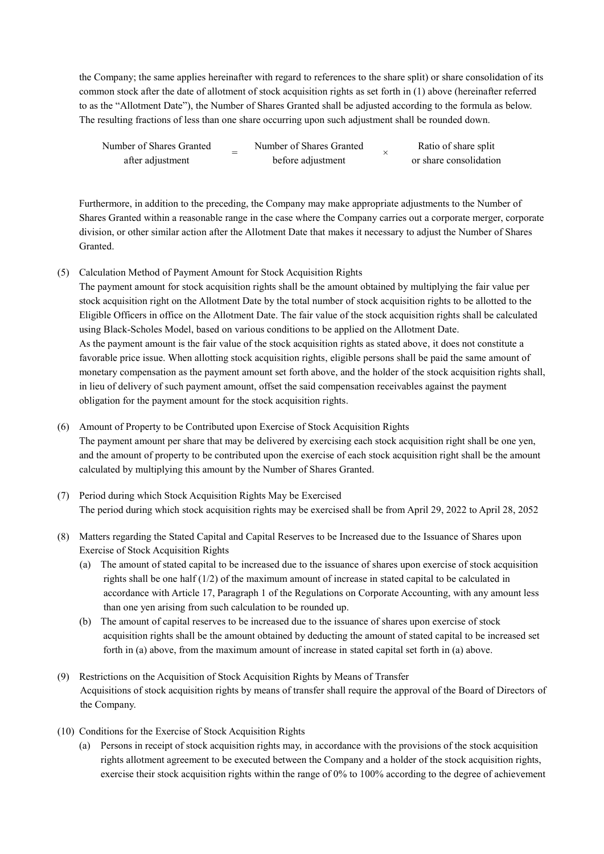the Company; the same applies hereinafter with regard to references to the share split) or share consolidation of its common stock after the date of allotment of stock acquisition rights as set forth in (1) above (hereinafter referred to as the "Allotment Date"), the Number of Shares Granted shall be adjusted according to the formula as below. The resulting fractions of less than one share occurring upon such adjustment shall be rounded down.

| Number of Shares Granted | Number of Shares Granted | Ratio of share split   |
|--------------------------|--------------------------|------------------------|
| after adjustment         | before adjustment        | or share consolidation |

Furthermore, in addition to the preceding, the Company may make appropriate adjustments to the Number of Shares Granted within a reasonable range in the case where the Company carries out a corporate merger, corporate division, or other similar action after the Allotment Date that makes it necessary to adjust the Number of Shares Granted.

(5) Calculation Method of Payment Amount for Stock Acquisition Rights

The payment amount for stock acquisition rights shall be the amount obtained by multiplying the fair value per stock acquisition right on the Allotment Date by the total number of stock acquisition rights to be allotted to the Eligible Officers in office on the Allotment Date. The fair value of the stock acquisition rights shall be calculated using Black-Scholes Model, based on various conditions to be applied on the Allotment Date. As the payment amount is the fair value of the stock acquisition rights as stated above, it does not constitute a favorable price issue. When allotting stock acquisition rights, eligible persons shall be paid the same amount of monetary compensation as the payment amount set forth above, and the holder of the stock acquisition rights shall, in lieu of delivery of such payment amount, offset the said compensation receivables against the payment obligation for the payment amount for the stock acquisition rights.

- (6) Amount of Property to be Contributed upon Exercise of Stock Acquisition Rights The payment amount per share that may be delivered by exercising each stock acquisition right shall be one yen, and the amount of property to be contributed upon the exercise of each stock acquisition right shall be the amount calculated by multiplying this amount by the Number of Shares Granted.
- (7) Period during which Stock Acquisition Rights May be Exercised The period during which stock acquisition rights may be exercised shall be from April 29, 2022 to April 28, 2052
- (8) Matters regarding the Stated Capital and Capital Reserves to be Increased due to the Issuance of Shares upon Exercise of Stock Acquisition Rights
	- (a) The amount of stated capital to be increased due to the issuance of shares upon exercise of stock acquisition rights shall be one half (1/2) of the maximum amount of increase in stated capital to be calculated in accordance with Article 17, Paragraph 1 of the Regulations on Corporate Accounting, with any amount less than one yen arising from such calculation to be rounded up.
	- (b) The amount of capital reserves to be increased due to the issuance of shares upon exercise of stock acquisition rights shall be the amount obtained by deducting the amount of stated capital to be increased set forth in (a) above, from the maximum amount of increase in stated capital set forth in (a) above.
- (9) Restrictions on the Acquisition of Stock Acquisition Rights by Means of Transfer Acquisitions of stock acquisition rights by means of transfer shall require the approval of the Board of Directors of the Company.
- (10) Conditions for the Exercise of Stock Acquisition Rights
	- (a) Persons in receipt of stock acquisition rights may, in accordance with the provisions of the stock acquisition rights allotment agreement to be executed between the Company and a holder of the stock acquisition rights, exercise their stock acquisition rights within the range of 0% to 100% according to the degree of achievement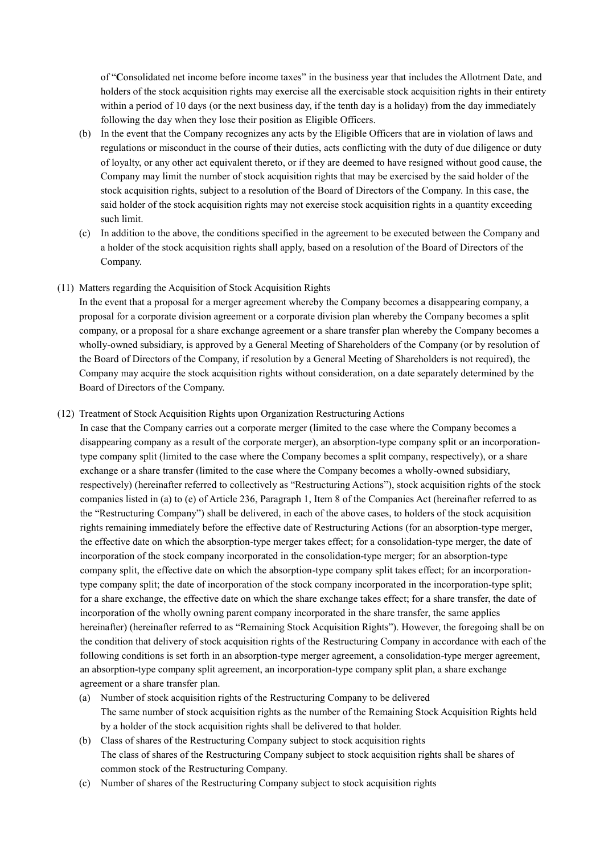of "**C**onsolidated net income before income taxes" in the business year that includes the Allotment Date, and holders of the stock acquisition rights may exercise all the exercisable stock acquisition rights in their entirety within a period of 10 days (or the next business day, if the tenth day is a holiday) from the day immediately following the day when they lose their position as Eligible Officers.

- (b) In the event that the Company recognizes any acts by the Eligible Officers that are in violation of laws and regulations or misconduct in the course of their duties, acts conflicting with the duty of due diligence or duty of loyalty, or any other act equivalent thereto, or if they are deemed to have resigned without good cause, the Company may limit the number of stock acquisition rights that may be exercised by the said holder of the stock acquisition rights, subject to a resolution of the Board of Directors of the Company. In this case, the said holder of the stock acquisition rights may not exercise stock acquisition rights in a quantity exceeding such limit.
- (c) In addition to the above, the conditions specified in the agreement to be executed between the Company and a holder of the stock acquisition rights shall apply, based on a resolution of the Board of Directors of the Company.
- (11) Matters regarding the Acquisition of Stock Acquisition Rights

In the event that a proposal for a merger agreement whereby the Company becomes a disappearing company, a proposal for a corporate division agreement or a corporate division plan whereby the Company becomes a split company, or a proposal for a share exchange agreement or a share transfer plan whereby the Company becomes a wholly-owned subsidiary, is approved by a General Meeting of Shareholders of the Company (or by resolution of the Board of Directors of the Company, if resolution by a General Meeting of Shareholders is not required), the Company may acquire the stock acquisition rights without consideration, on a date separately determined by the Board of Directors of the Company.

(12) Treatment of Stock Acquisition Rights upon Organization Restructuring Actions

In case that the Company carries out a corporate merger (limited to the case where the Company becomes a disappearing company as a result of the corporate merger), an absorption-type company split or an incorporationtype company split (limited to the case where the Company becomes a split company, respectively), or a share exchange or a share transfer (limited to the case where the Company becomes a wholly-owned subsidiary, respectively) (hereinafter referred to collectively as "Restructuring Actions"), stock acquisition rights of the stock companies listed in (a) to (e) of Article 236, Paragraph 1, Item 8 of the Companies Act (hereinafter referred to as the "Restructuring Company") shall be delivered, in each of the above cases, to holders of the stock acquisition rights remaining immediately before the effective date of Restructuring Actions (for an absorption-type merger, the effective date on which the absorption-type merger takes effect; for a consolidation-type merger, the date of incorporation of the stock company incorporated in the consolidation-type merger; for an absorption-type company split, the effective date on which the absorption-type company split takes effect; for an incorporationtype company split; the date of incorporation of the stock company incorporated in the incorporation-type split; for a share exchange, the effective date on which the share exchange takes effect; for a share transfer, the date of incorporation of the wholly owning parent company incorporated in the share transfer, the same applies hereinafter) (hereinafter referred to as "Remaining Stock Acquisition Rights"). However, the foregoing shall be on the condition that delivery of stock acquisition rights of the Restructuring Company in accordance with each of the following conditions is set forth in an absorption-type merger agreement, a consolidation-type merger agreement, an absorption-type company split agreement, an incorporation-type company split plan, a share exchange agreement or a share transfer plan.

- (a) Number of stock acquisition rights of the Restructuring Company to be delivered The same number of stock acquisition rights as the number of the Remaining Stock Acquisition Rights held by a holder of the stock acquisition rights shall be delivered to that holder.
- (b) Class of shares of the Restructuring Company subject to stock acquisition rights The class of shares of the Restructuring Company subject to stock acquisition rights shall be shares of common stock of the Restructuring Company.
- (c) Number of shares of the Restructuring Company subject to stock acquisition rights